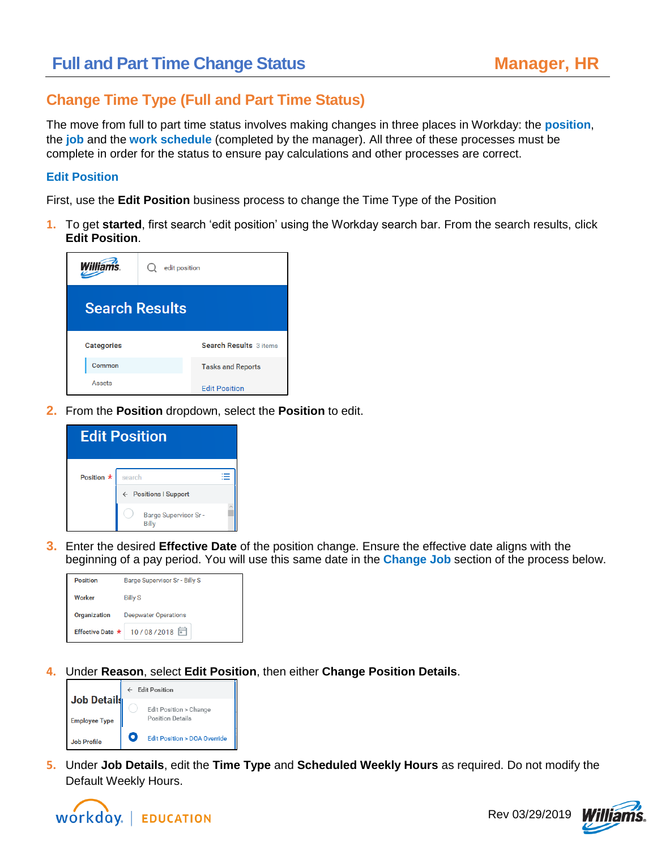### **Change Time Type (Full and Part Time Status)**

The move from full to part time status involves making changes in three places in Workday: the **position**, the **job** and the **work schedule** (completed by the manager). All three of these processes must be complete in order for the status to ensure pay calculations and other processes are correct.

#### **Edit Position**

First, use the **Edit Position** business process to change the Time Type of the Position

**1.** To get **started**, first search 'edit position' using the Workday search bar. From the search results, click **Edit Position**.



**2.** From the **Position** dropdown, select the **Position** to edit.

| <b>Edit Position</b> |                                             |  |  |  |  |  |
|----------------------|---------------------------------------------|--|--|--|--|--|
| Position *           | search<br>← Positions I Support             |  |  |  |  |  |
|                      | <b>Barge Supervisor Sr-</b><br><b>Billy</b> |  |  |  |  |  |

**3.** Enter the desired **Effective Date** of the position change. Ensure the effective date aligns with the beginning of a pay period. You will use this same date in the **Change Job** section of the process below.



**4.** Under **Reason**, select **Edit Position**, then either **Change Position Details**.



**5.** Under **Job Details**, edit the **Time Type** and **Scheduled Weekly Hours** as required. Do not modify the Default Weekly Hours.



Rev 03/29/2019

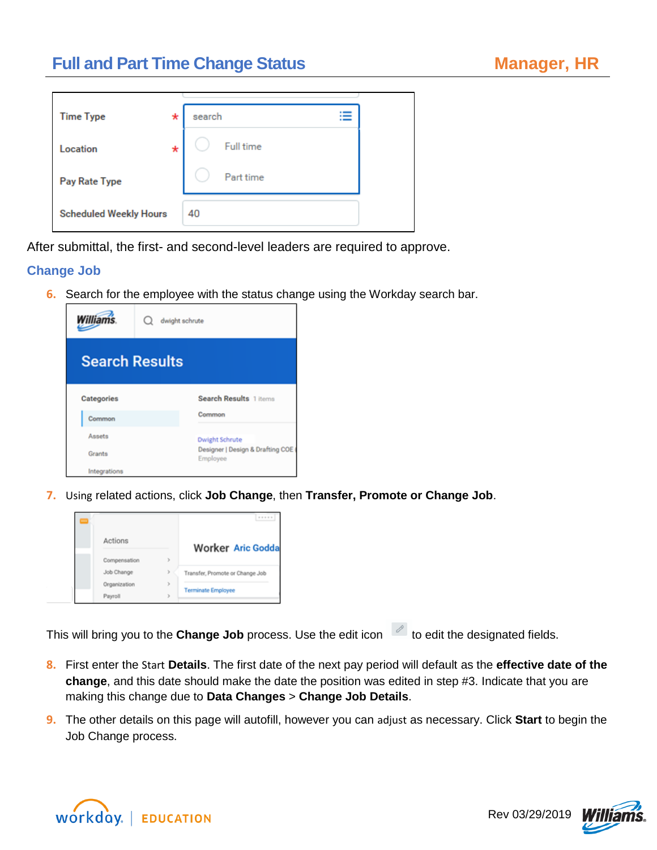# **Full and Part Time Change Status**

| <b>Time Type</b>              | search<br>* |                  |
|-------------------------------|-------------|------------------|
| Location                      | *           | <b>Full time</b> |
| Pay Rate Type                 |             | Part time        |
| <b>Scheduled Weekly Hours</b> | 40          |                  |

After submittal, the first- and second-level leaders are required to approve.

#### **Change Job**

**6.** Search for the employee with the status change using the Workday search bar.



**7.** Using related actions, click **Job Change**, then **Transfer, Promote or Change Job**.



This will bring you to the **Change Job** process. Use the edit icon the edit the designated fields.

- **8.** First enter the Start **Details**. The first date of the next pay period will default as the **effective date of the change**, and this date should make the date the position was edited in step #3. Indicate that you are making this change due to **Data Changes** > **Change Job Details**.
- **9.** The other details on this page will autofill, however you can adjust as necessary. Click **Start** to begin the Job Change process.